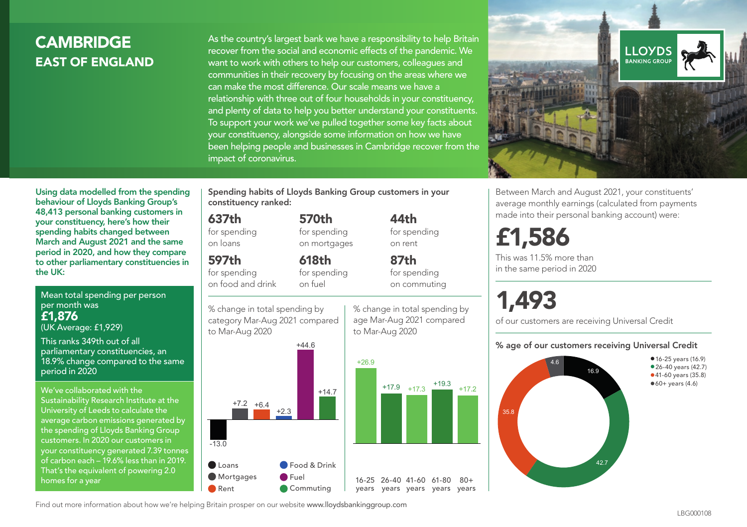## **CAMBRIDGE** EAST OF ENGLAND

As the country's largest bank we have a responsibility to help Britain recover from the social and economic effects of the pandemic. We want to work with others to help our customers, colleagues and communities in their recovery by focusing on the areas where we can make the most difference. Our scale means we have a relationship with three out of four households in your constituency, and plenty of data to help you better understand your constituents. To support your work we've pulled together some key facts about your constituency, alongside some information on how we have been helping people and businesses in Cambridge recover from the impact of coronavirus.



Using data modelled from the spending behaviour of Lloyds Banking Group's 48,413 personal banking customers in your constituency, here's how their spending habits changed between March and August 2021 and the same period in 2020, and how they compare to other parliamentary constituencies in the UK:

Mean total spending per person per month was £1,876 (UK Average: £1,929)

This ranks 349th out of all parliamentary constituencies, an 18.9% change compared to the same period in 2020

We've collaborated with the Sustainability Research Institute at the University of Leeds to calculate the average carbon emissions generated by the spending of Lloyds Banking Group customers. In 2020 our customers in your constituency generated 7.39 tonnes of carbon each – 19.6% less than in 2019. That's the equivalent of powering 2.0 homes for a year

Spending habits of Lloyds Banking Group customers in your constituency ranked:

> 570th for spending on mortgages

618th

## 637th

for spending on loans

597th

for spending on food and drink for spending on fuel



Commuting

44th for spending on rent

87th for spending on commuting

% change in total spending by age Mar-Aug 2021 compared to Mar-Aug 2020



16-25 26-40 41-60 61-80 years years years years years

 $80 +$ 

Between March and August 2021, your constituents' average monthly earnings (calculated from payments made into their personal banking account) were:

## £1,586

This was 11.5% more than in the same period in 2020

# 1,493

of our customers are receiving Universal Credit

#### % age of our customers receiving Universal Credit



Find out more information about how we're helping Britain prosper on our website www.lloydsbankinggroup.com **Rent** 

**C** Loans **Mortgages**